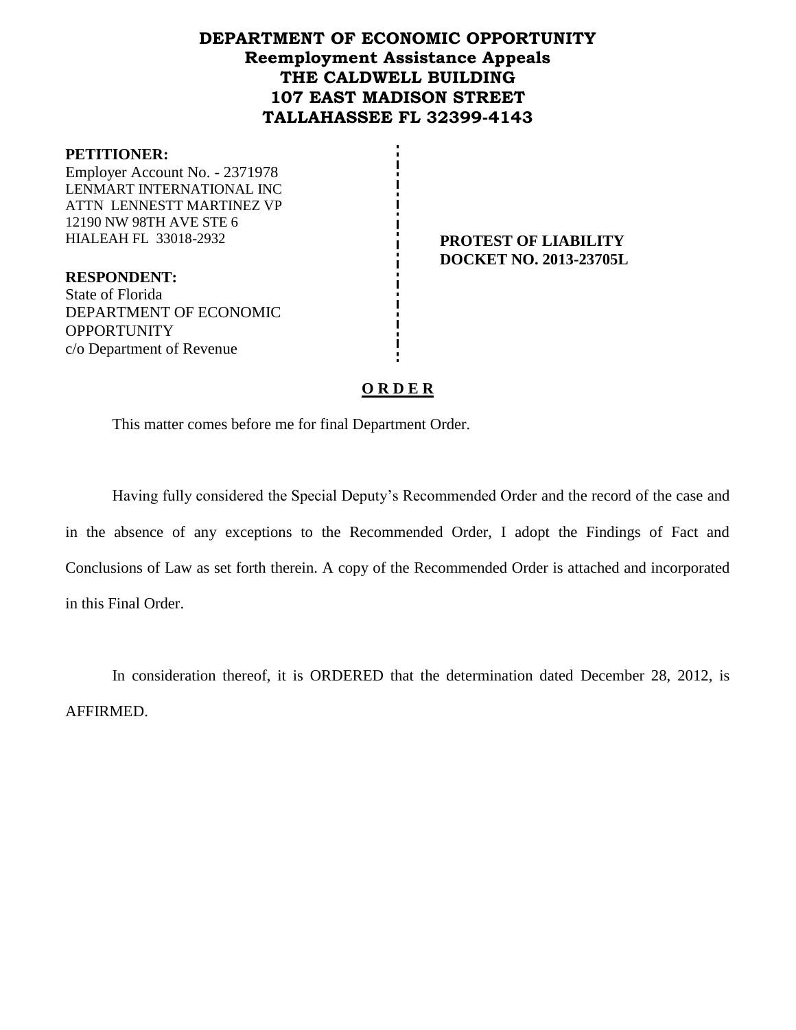# **DEPARTMENT OF ECONOMIC OPPORTUNITY Reemployment Assistance Appeals THE CALDWELL BUILDING 107 EAST MADISON STREET TALLAHASSEE FL 32399-4143**

#### **PETITIONER:**

Employer Account No. - 2371978 LENMART INTERNATIONAL INC ATTN LENNESTT MARTINEZ VP 12190 NW 98TH AVE STE 6 HIALEAH FL 33018-2932 **PROTEST OF LIABILITY**

**DOCKET NO. 2013-23705L**

**RESPONDENT:** State of Florida DEPARTMENT OF ECONOMIC **OPPORTUNITY** c/o Department of Revenue

### **O R D E R**

This matter comes before me for final Department Order.

Having fully considered the Special Deputy's Recommended Order and the record of the case and in the absence of any exceptions to the Recommended Order, I adopt the Findings of Fact and Conclusions of Law as set forth therein. A copy of the Recommended Order is attached and incorporated in this Final Order.

In consideration thereof, it is ORDERED that the determination dated December 28, 2012, is AFFIRMED.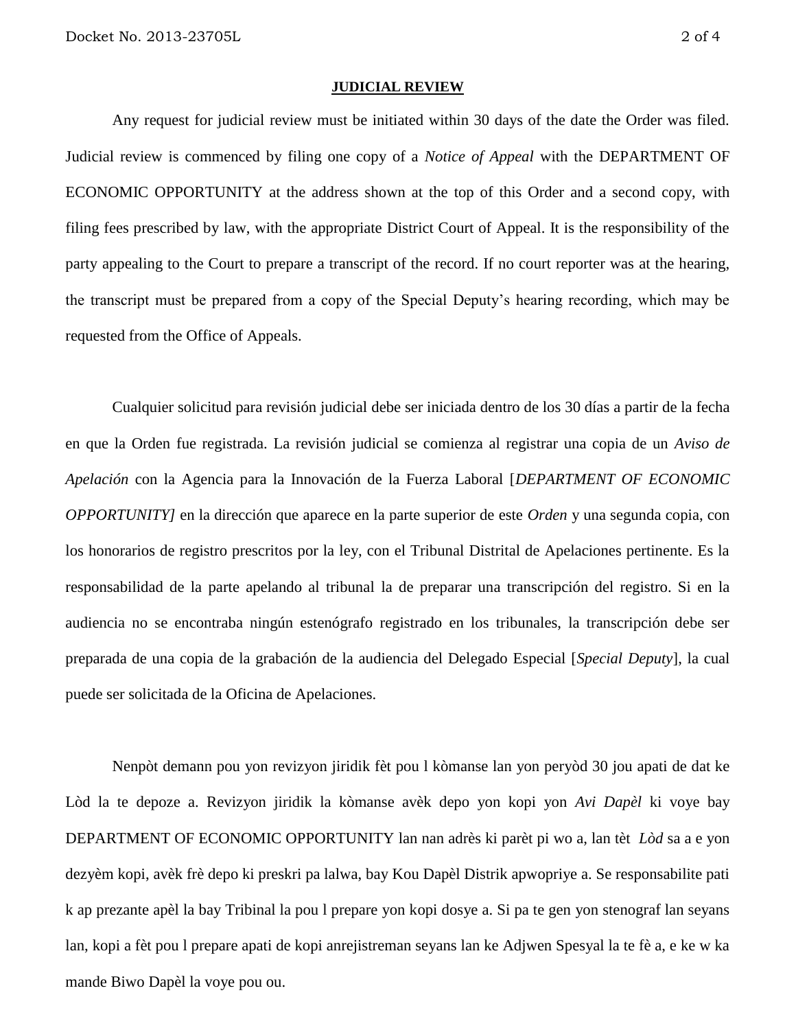#### **JUDICIAL REVIEW**

Any request for judicial review must be initiated within 30 days of the date the Order was filed. Judicial review is commenced by filing one copy of a *Notice of Appeal* with the DEPARTMENT OF ECONOMIC OPPORTUNITY at the address shown at the top of this Order and a second copy, with filing fees prescribed by law, with the appropriate District Court of Appeal. It is the responsibility of the party appealing to the Court to prepare a transcript of the record. If no court reporter was at the hearing, the transcript must be prepared from a copy of the Special Deputy's hearing recording, which may be requested from the Office of Appeals.

Cualquier solicitud para revisión judicial debe ser iniciada dentro de los 30 días a partir de la fecha en que la Orden fue registrada. La revisión judicial se comienza al registrar una copia de un *Aviso de Apelación* con la Agencia para la Innovación de la Fuerza Laboral [*DEPARTMENT OF ECONOMIC OPPORTUNITY]* en la dirección que aparece en la parte superior de este *Orden* y una segunda copia, con los honorarios de registro prescritos por la ley, con el Tribunal Distrital de Apelaciones pertinente. Es la responsabilidad de la parte apelando al tribunal la de preparar una transcripción del registro. Si en la audiencia no se encontraba ningún estenógrafo registrado en los tribunales, la transcripción debe ser preparada de una copia de la grabación de la audiencia del Delegado Especial [*Special Deputy*], la cual puede ser solicitada de la Oficina de Apelaciones.

Nenpòt demann pou yon revizyon jiridik fèt pou l kòmanse lan yon peryòd 30 jou apati de dat ke Lòd la te depoze a. Revizyon jiridik la kòmanse avèk depo yon kopi yon *Avi Dapèl* ki voye bay DEPARTMENT OF ECONOMIC OPPORTUNITY lan nan adrès ki parèt pi wo a, lan tèt *Lòd* sa a e yon dezyèm kopi, avèk frè depo ki preskri pa lalwa, bay Kou Dapèl Distrik apwopriye a. Se responsabilite pati k ap prezante apèl la bay Tribinal la pou l prepare yon kopi dosye a. Si pa te gen yon stenograf lan seyans lan, kopi a fèt pou l prepare apati de kopi anrejistreman seyans lan ke Adjwen Spesyal la te fè a, e ke w ka mande Biwo Dapèl la voye pou ou.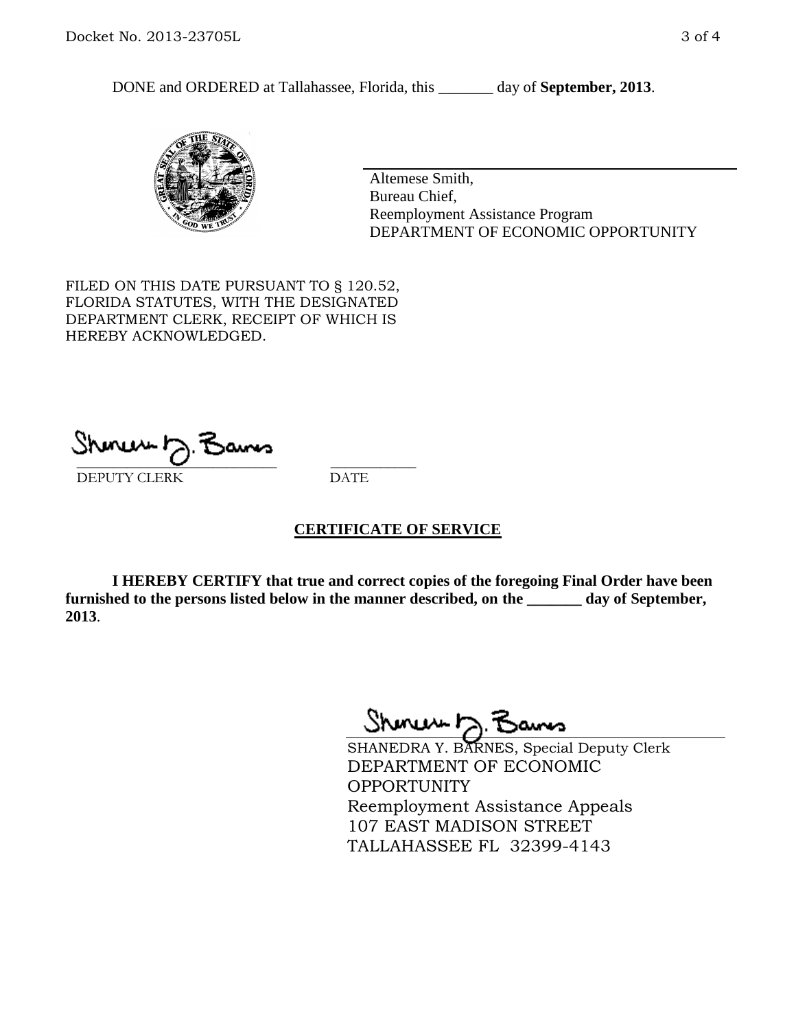DONE and ORDERED at Tallahassee, Florida, this \_\_\_\_\_\_\_ day of **September, 2013**.



Altemese Smith, Bureau Chief, Reemployment Assistance Program DEPARTMENT OF ECONOMIC OPPORTUNITY

FILED ON THIS DATE PURSUANT TO § 120.52, FLORIDA STATUTES, WITH THE DESIGNATED DEPARTMENT CLERK, RECEIPT OF WHICH IS HEREBY ACKNOWLEDGED.

 $\overline{\phantom{a}}$  ,  $\overline{\phantom{a}}$  ,  $\overline{\phantom{a}}$  ,  $\overline{\phantom{a}}$  ,  $\overline{\phantom{a}}$  ,  $\overline{\phantom{a}}$  ,  $\overline{\phantom{a}}$  ,  $\overline{\phantom{a}}$ DEPUTY CLERK DATE

# **CERTIFICATE OF SERVICE**

**I HEREBY CERTIFY that true and correct copies of the foregoing Final Order have been furnished to the persons listed below in the manner described, on the \_\_\_\_\_\_\_ day of September, 2013**.

Shoner D. Bans

SHANEDRA Y. BARNES, Special Deputy Clerk DEPARTMENT OF ECONOMIC OPPORTUNITY Reemployment Assistance Appeals 107 EAST MADISON STREET TALLAHASSEE FL 32399-4143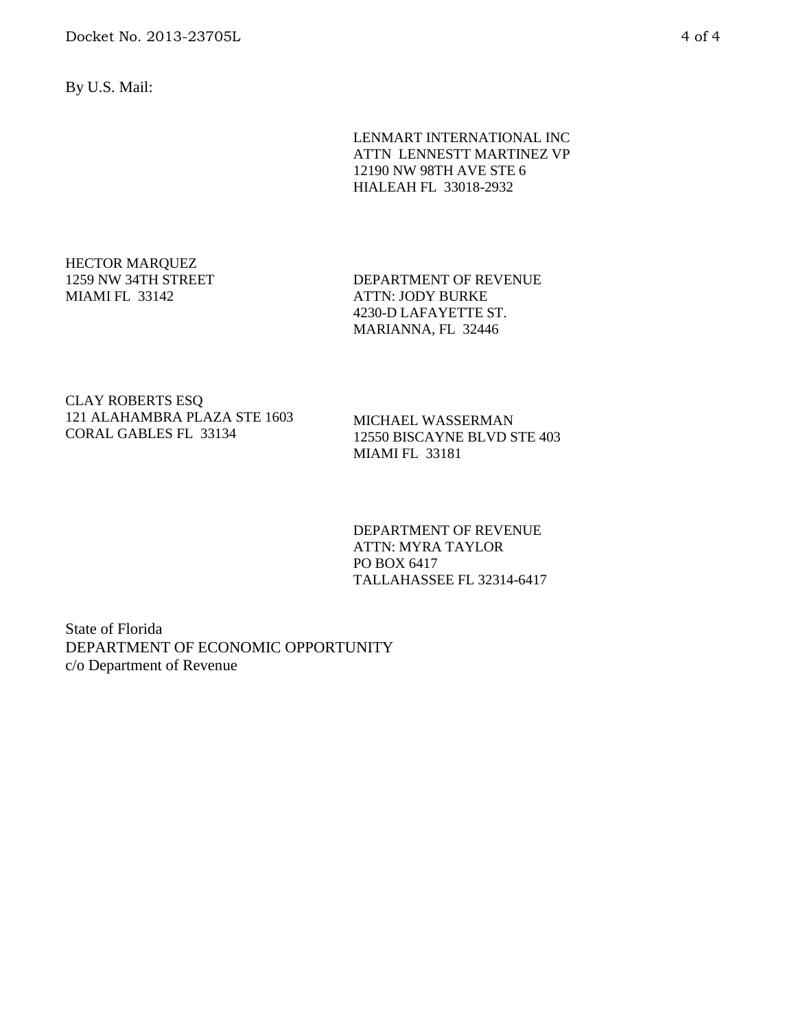By U.S. Mail:

LENMART INTERNATIONAL INC ATTN LENNESTT MARTINEZ VP 12190 NW 98TH AVE STE 6 HIALEAH FL 33018-2932

### HECTOR MARQUEZ 1259 NW 34TH STREET MIAMI FL 33142

DEPARTMENT OF REVENUE ATTN: JODY BURKE 4230-D LAFAYETTE ST. MARIANNA, FL 32446

CLAY ROBERTS ESQ 121 ALAHAMBRA PLAZA STE 1603 CORAL GABLES FL 33134

MICHAEL WASSERMAN 12550 BISCAYNE BLVD STE 403 MIAMI FL 33181

DEPARTMENT OF REVENUE ATTN: MYRA TAYLOR PO BOX 6417 TALLAHASSEE FL 32314-6417

State of Florida DEPARTMENT OF ECONOMIC OPPORTUNITY c/o Department of Revenue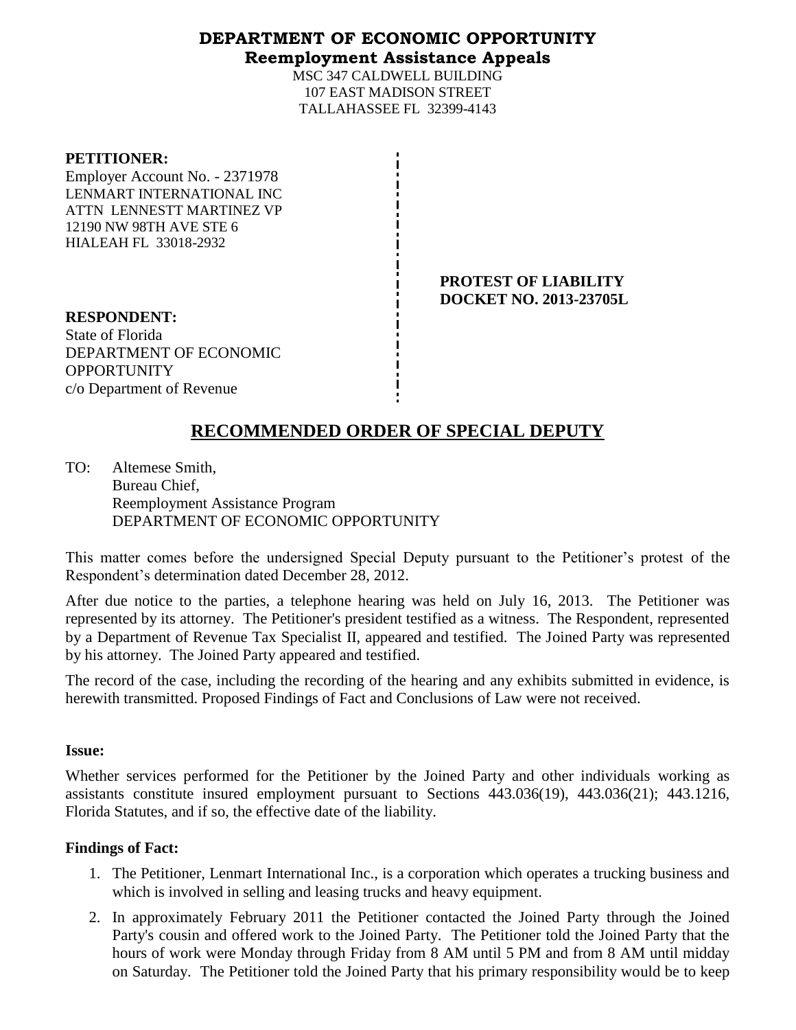# **DEPARTMENT OF ECONOMIC OPPORTUNITY Reemployment Assistance Appeals**

MSC 347 CALDWELL BUILDING 107 EAST MADISON STREET TALLAHASSEE FL 32399-4143

### **PETITIONER:**

Employer Account No. - 2371978 LENMART INTERNATIONAL INC ATTN LENNESTT MARTINEZ VP 12190 NW 98TH AVE STE 6 HIALEAH FL 33018-2932

> **PROTEST OF LIABILITY DOCKET NO. 2013-23705L**

**RESPONDENT:** State of Florida DEPARTMENT OF ECONOMIC **OPPORTUNITY** c/o Department of Revenue

# **RECOMMENDED ORDER OF SPECIAL DEPUTY**

TO: Altemese Smith, Bureau Chief, Reemployment Assistance Program DEPARTMENT OF ECONOMIC OPPORTUNITY

This matter comes before the undersigned Special Deputy pursuant to the Petitioner's protest of the Respondent's determination dated December 28, 2012.

After due notice to the parties, a telephone hearing was held on July 16, 2013. The Petitioner was represented by its attorney. The Petitioner's president testified as a witness. The Respondent, represented by a Department of Revenue Tax Specialist II, appeared and testified. The Joined Party was represented by his attorney. The Joined Party appeared and testified.

The record of the case, including the recording of the hearing and any exhibits submitted in evidence, is herewith transmitted. Proposed Findings of Fact and Conclusions of Law were not received.

# **Issue:**

Whether services performed for the Petitioner by the Joined Party and other individuals working as assistants constitute insured employment pursuant to Sections 443.036(19), 443.036(21); 443.1216, Florida Statutes, and if so, the effective date of the liability.

# **Findings of Fact:**

- 1. The Petitioner, Lenmart International Inc., is a corporation which operates a trucking business and which is involved in selling and leasing trucks and heavy equipment.
- 2. In approximately February 2011 the Petitioner contacted the Joined Party through the Joined Party's cousin and offered work to the Joined Party. The Petitioner told the Joined Party that the hours of work were Monday through Friday from 8 AM until 5 PM and from 8 AM until midday on Saturday. The Petitioner told the Joined Party that his primary responsibility would be to keep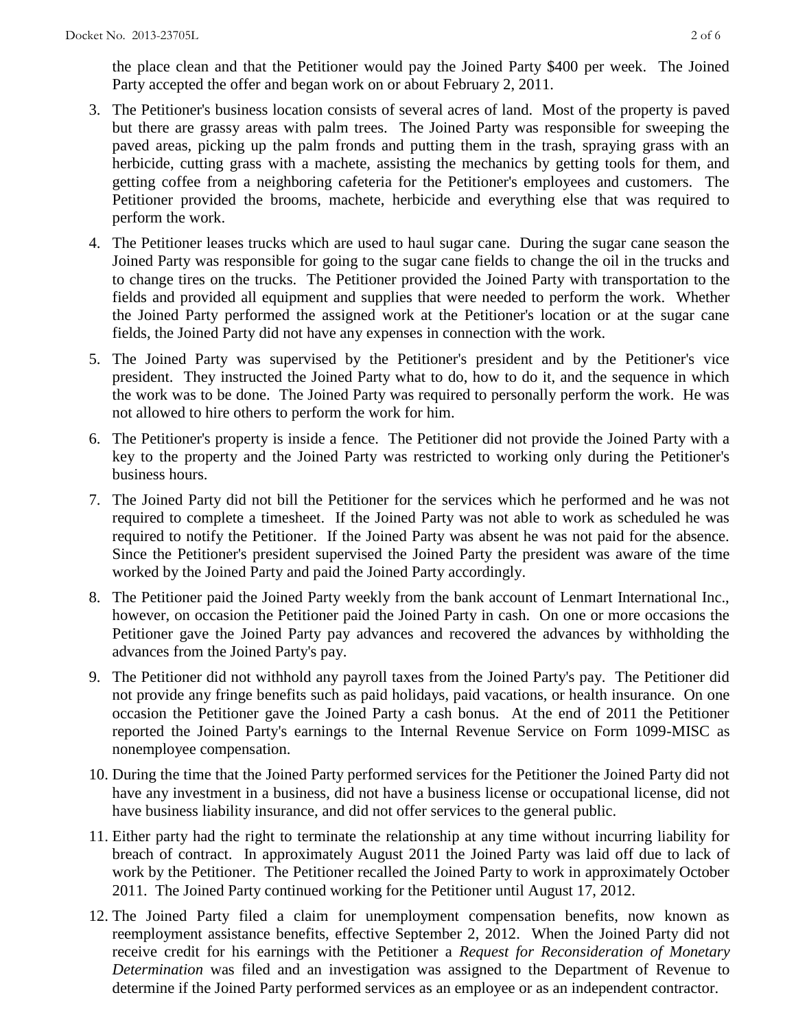the place clean and that the Petitioner would pay the Joined Party \$400 per week. The Joined Party accepted the offer and began work on or about February 2, 2011.

- 3. The Petitioner's business location consists of several acres of land. Most of the property is paved but there are grassy areas with palm trees. The Joined Party was responsible for sweeping the paved areas, picking up the palm fronds and putting them in the trash, spraying grass with an herbicide, cutting grass with a machete, assisting the mechanics by getting tools for them, and getting coffee from a neighboring cafeteria for the Petitioner's employees and customers. The Petitioner provided the brooms, machete, herbicide and everything else that was required to perform the work.
- 4. The Petitioner leases trucks which are used to haul sugar cane. During the sugar cane season the Joined Party was responsible for going to the sugar cane fields to change the oil in the trucks and to change tires on the trucks. The Petitioner provided the Joined Party with transportation to the fields and provided all equipment and supplies that were needed to perform the work. Whether the Joined Party performed the assigned work at the Petitioner's location or at the sugar cane fields, the Joined Party did not have any expenses in connection with the work.
- 5. The Joined Party was supervised by the Petitioner's president and by the Petitioner's vice president. They instructed the Joined Party what to do, how to do it, and the sequence in which the work was to be done. The Joined Party was required to personally perform the work. He was not allowed to hire others to perform the work for him.
- 6. The Petitioner's property is inside a fence. The Petitioner did not provide the Joined Party with a key to the property and the Joined Party was restricted to working only during the Petitioner's business hours.
- 7. The Joined Party did not bill the Petitioner for the services which he performed and he was not required to complete a timesheet. If the Joined Party was not able to work as scheduled he was required to notify the Petitioner. If the Joined Party was absent he was not paid for the absence. Since the Petitioner's president supervised the Joined Party the president was aware of the time worked by the Joined Party and paid the Joined Party accordingly.
- 8. The Petitioner paid the Joined Party weekly from the bank account of Lenmart International Inc., however, on occasion the Petitioner paid the Joined Party in cash. On one or more occasions the Petitioner gave the Joined Party pay advances and recovered the advances by withholding the advances from the Joined Party's pay.
- 9. The Petitioner did not withhold any payroll taxes from the Joined Party's pay. The Petitioner did not provide any fringe benefits such as paid holidays, paid vacations, or health insurance. On one occasion the Petitioner gave the Joined Party a cash bonus. At the end of 2011 the Petitioner reported the Joined Party's earnings to the Internal Revenue Service on Form 1099-MISC as nonemployee compensation.
- 10. During the time that the Joined Party performed services for the Petitioner the Joined Party did not have any investment in a business, did not have a business license or occupational license, did not have business liability insurance, and did not offer services to the general public.
- 11. Either party had the right to terminate the relationship at any time without incurring liability for breach of contract. In approximately August 2011 the Joined Party was laid off due to lack of work by the Petitioner. The Petitioner recalled the Joined Party to work in approximately October 2011. The Joined Party continued working for the Petitioner until August 17, 2012.
- 12. The Joined Party filed a claim for unemployment compensation benefits, now known as reemployment assistance benefits, effective September 2, 2012. When the Joined Party did not receive credit for his earnings with the Petitioner a *Request for Reconsideration of Monetary Determination* was filed and an investigation was assigned to the Department of Revenue to determine if the Joined Party performed services as an employee or as an independent contractor.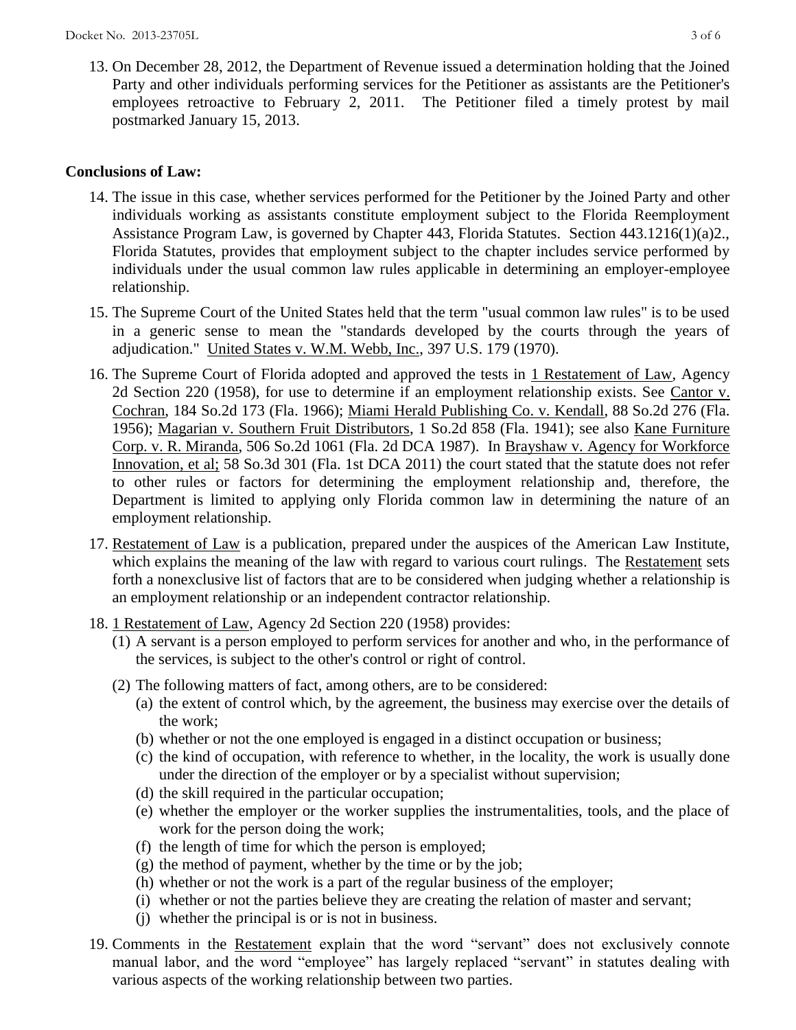13. On December 28, 2012, the Department of Revenue issued a determination holding that the Joined Party and other individuals performing services for the Petitioner as assistants are the Petitioner's employees retroactive to February 2, 2011. The Petitioner filed a timely protest by mail postmarked January 15, 2013.

# **Conclusions of Law:**

- 14. The issue in this case, whether services performed for the Petitioner by the Joined Party and other individuals working as assistants constitute employment subject to the Florida Reemployment Assistance Program Law, is governed by Chapter 443, Florida Statutes. Section 443.1216(1)(a)2., Florida Statutes, provides that employment subject to the chapter includes service performed by individuals under the usual common law rules applicable in determining an employer-employee relationship.
- 15. The Supreme Court of the United States held that the term "usual common law rules" is to be used in a generic sense to mean the "standards developed by the courts through the years of adjudication." United States v. W.M. Webb, Inc., 397 U.S. 179 (1970).
- 16. The Supreme Court of Florida adopted and approved the tests in 1 Restatement of Law, Agency 2d Section 220 (1958), for use to determine if an employment relationship exists. See Cantor v. Cochran, 184 So.2d 173 (Fla. 1966); Miami Herald Publishing Co. v. Kendall, 88 So.2d 276 (Fla. 1956); Magarian v. Southern Fruit Distributors, 1 So.2d 858 (Fla. 1941); see also Kane Furniture Corp. v. R. Miranda, 506 So.2d 1061 (Fla. 2d DCA 1987). In Brayshaw v. Agency for Workforce Innovation, et al; 58 So.3d 301 (Fla. 1st DCA 2011) the court stated that the statute does not refer to other rules or factors for determining the employment relationship and, therefore, the Department is limited to applying only Florida common law in determining the nature of an employment relationship.
- 17. Restatement of Law is a publication, prepared under the auspices of the American Law Institute, which explains the meaning of the law with regard to various court rulings. The Restatement sets forth a nonexclusive list of factors that are to be considered when judging whether a relationship is an employment relationship or an independent contractor relationship.
- 18. 1 Restatement of Law, Agency 2d Section 220 (1958) provides:
	- (1) A servant is a person employed to perform services for another and who, in the performance of the services, is subject to the other's control or right of control.
	- (2) The following matters of fact, among others, are to be considered:
		- (a) the extent of control which, by the agreement, the business may exercise over the details of the work;
		- (b) whether or not the one employed is engaged in a distinct occupation or business;
		- (c) the kind of occupation, with reference to whether, in the locality, the work is usually done under the direction of the employer or by a specialist without supervision;
		- (d) the skill required in the particular occupation;
		- (e) whether the employer or the worker supplies the instrumentalities, tools, and the place of work for the person doing the work;
		- (f) the length of time for which the person is employed;
		- (g) the method of payment, whether by the time or by the job;
		- (h) whether or not the work is a part of the regular business of the employer;
		- (i) whether or not the parties believe they are creating the relation of master and servant;
		- (j) whether the principal is or is not in business.
- 19. Comments in the Restatement explain that the word "servant" does not exclusively connote manual labor, and the word "employee" has largely replaced "servant" in statutes dealing with various aspects of the working relationship between two parties.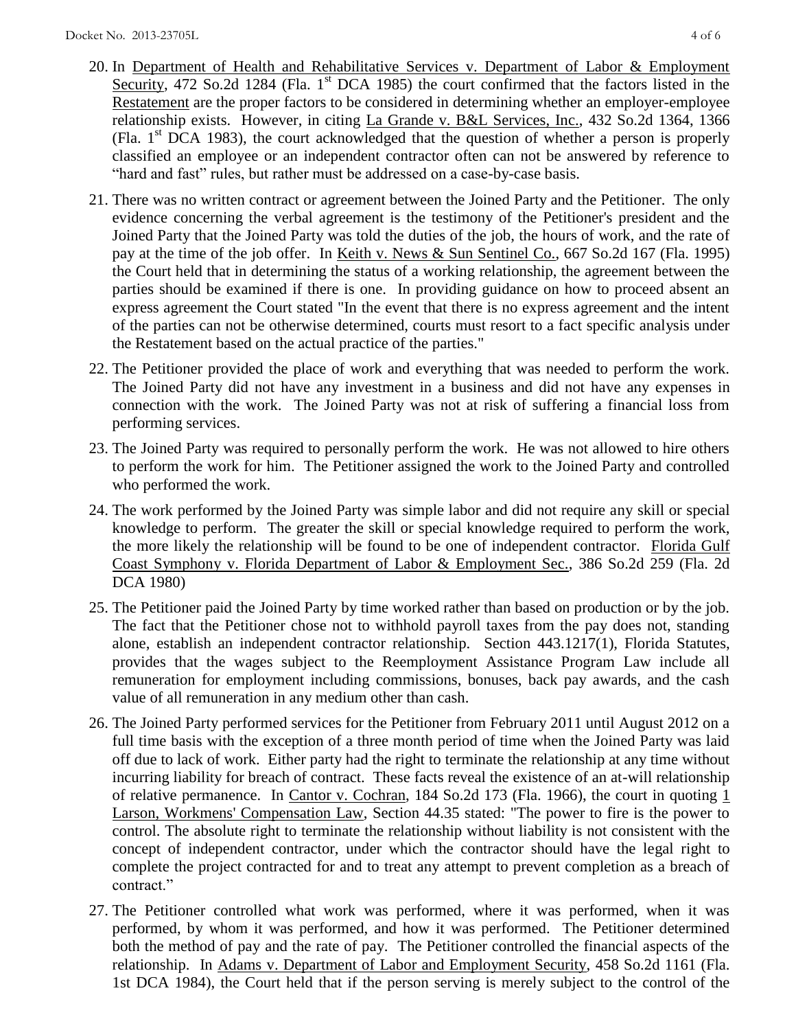- 20. In Department of Health and Rehabilitative Services v. Department of Labor & Employment Security, 472 So.2d 1284 (Fla. 1<sup>st</sup> DCA 1985) the court confirmed that the factors listed in the Restatement are the proper factors to be considered in determining whether an employer-employee relationship exists. However, in citing La Grande v. B&L Services, Inc., 432 So.2d 1364, 1366 (Fla.  $1<sup>st</sup> DCA$  1983), the court acknowledged that the question of whether a person is properly classified an employee or an independent contractor often can not be answered by reference to "hard and fast" rules, but rather must be addressed on a case-by-case basis.
- 21. There was no written contract or agreement between the Joined Party and the Petitioner. The only evidence concerning the verbal agreement is the testimony of the Petitioner's president and the Joined Party that the Joined Party was told the duties of the job, the hours of work, and the rate of pay at the time of the job offer. In Keith v. News & Sun Sentinel Co., 667 So.2d 167 (Fla. 1995) the Court held that in determining the status of a working relationship, the agreement between the parties should be examined if there is one. In providing guidance on how to proceed absent an express agreement the Court stated "In the event that there is no express agreement and the intent of the parties can not be otherwise determined, courts must resort to a fact specific analysis under the Restatement based on the actual practice of the parties."
- 22. The Petitioner provided the place of work and everything that was needed to perform the work. The Joined Party did not have any investment in a business and did not have any expenses in connection with the work. The Joined Party was not at risk of suffering a financial loss from performing services.
- 23. The Joined Party was required to personally perform the work. He was not allowed to hire others to perform the work for him. The Petitioner assigned the work to the Joined Party and controlled who performed the work.
- 24. The work performed by the Joined Party was simple labor and did not require any skill or special knowledge to perform. The greater the skill or special knowledge required to perform the work, the more likely the relationship will be found to be one of independent contractor. Florida Gulf Coast Symphony v. Florida Department of Labor & Employment Sec., 386 So.2d 259 (Fla. 2d DCA 1980)
- 25. The Petitioner paid the Joined Party by time worked rather than based on production or by the job. The fact that the Petitioner chose not to withhold payroll taxes from the pay does not, standing alone, establish an independent contractor relationship. Section 443.1217(1), Florida Statutes, provides that the wages subject to the Reemployment Assistance Program Law include all remuneration for employment including commissions, bonuses, back pay awards, and the cash value of all remuneration in any medium other than cash.
- 26. The Joined Party performed services for the Petitioner from February 2011 until August 2012 on a full time basis with the exception of a three month period of time when the Joined Party was laid off due to lack of work. Either party had the right to terminate the relationship at any time without incurring liability for breach of contract. These facts reveal the existence of an at-will relationship of relative permanence. In Cantor v. Cochran, 184 So.2d 173 (Fla. 1966), the court in quoting 1 Larson, Workmens' Compensation Law, Section 44.35 stated: "The power to fire is the power to control. The absolute right to terminate the relationship without liability is not consistent with the concept of independent contractor, under which the contractor should have the legal right to complete the project contracted for and to treat any attempt to prevent completion as a breach of contract."
- 27. The Petitioner controlled what work was performed, where it was performed, when it was performed, by whom it was performed, and how it was performed. The Petitioner determined both the method of pay and the rate of pay. The Petitioner controlled the financial aspects of the relationship. In Adams v. Department of Labor and Employment Security, 458 So.2d 1161 (Fla. 1st DCA 1984), the Court held that if the person serving is merely subject to the control of the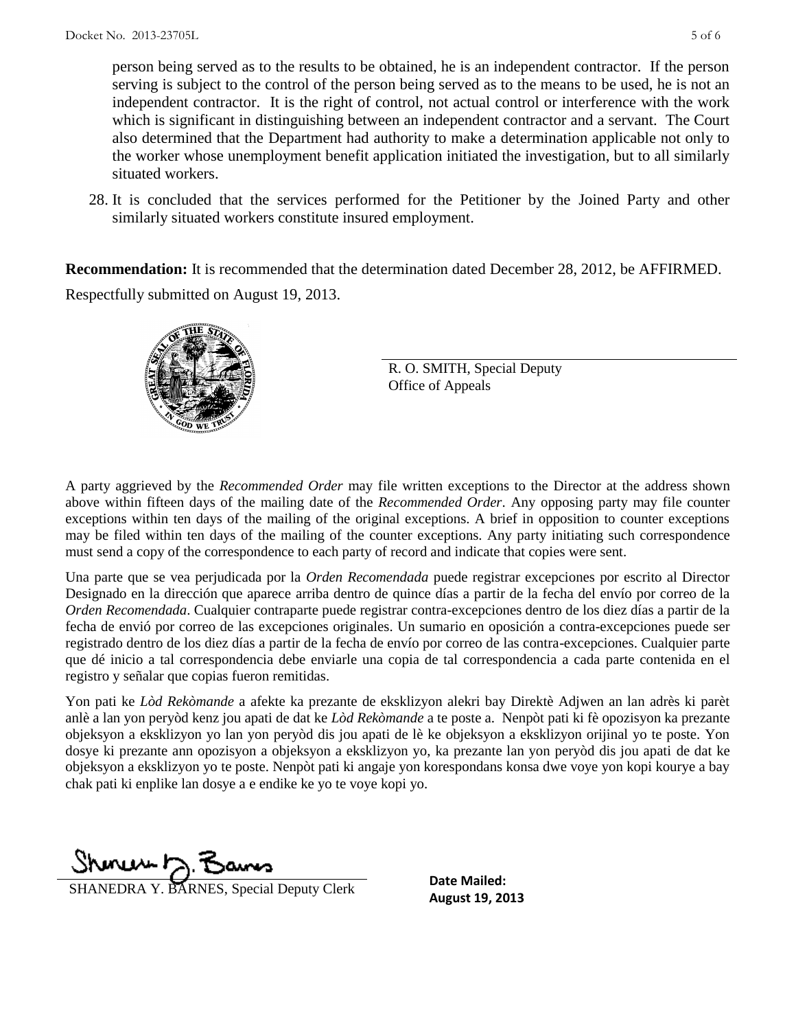person being served as to the results to be obtained, he is an independent contractor. If the person serving is subject to the control of the person being served as to the means to be used, he is not an independent contractor. It is the right of control, not actual control or interference with the work which is significant in distinguishing between an independent contractor and a servant. The Court also determined that the Department had authority to make a determination applicable not only to the worker whose unemployment benefit application initiated the investigation, but to all similarly situated workers.

28. It is concluded that the services performed for the Petitioner by the Joined Party and other similarly situated workers constitute insured employment.

**Recommendation:** It is recommended that the determination dated December 28, 2012, be AFFIRMED. Respectfully submitted on August 19, 2013.



R. O. SMITH, Special Deputy Office of Appeals

A party aggrieved by the *Recommended Order* may file written exceptions to the Director at the address shown above within fifteen days of the mailing date of the *Recommended Order*. Any opposing party may file counter exceptions within ten days of the mailing of the original exceptions. A brief in opposition to counter exceptions may be filed within ten days of the mailing of the counter exceptions. Any party initiating such correspondence must send a copy of the correspondence to each party of record and indicate that copies were sent.

Una parte que se vea perjudicada por la *Orden Recomendada* puede registrar excepciones por escrito al Director Designado en la dirección que aparece arriba dentro de quince días a partir de la fecha del envío por correo de la *Orden Recomendada*. Cualquier contraparte puede registrar contra-excepciones dentro de los diez días a partir de la fecha de envió por correo de las excepciones originales. Un sumario en oposición a contra-excepciones puede ser registrado dentro de los diez días a partir de la fecha de envío por correo de las contra-excepciones. Cualquier parte que dé inicio a tal correspondencia debe enviarle una copia de tal correspondencia a cada parte contenida en el registro y señalar que copias fueron remitidas.

Yon pati ke *Lòd Rekòmande* a afekte ka prezante de eksklizyon alekri bay Direktè Adjwen an lan adrès ki parèt anlè a lan yon peryòd kenz jou apati de dat ke *Lòd Rekòmande* a te poste a. Nenpòt pati ki fè opozisyon ka prezante objeksyon a eksklizyon yo lan yon peryòd dis jou apati de lè ke objeksyon a eksklizyon orijinal yo te poste. Yon dosye ki prezante ann opozisyon a objeksyon a eksklizyon yo, ka prezante lan yon peryòd dis jou apati de dat ke objeksyon a eksklizyon yo te poste. Nenpòt pati ki angaje yon korespondans konsa dwe voye yon kopi kourye a bay chak pati ki enplike lan dosye a e endike ke yo te voye kopi yo.

Shoner 12, Bans

**AUGUST 19, 2013**<br>**August 19, 2013** SHANES, Special Deputy Clerk<br>**August 19, 2013** 

**Date Mailed:**